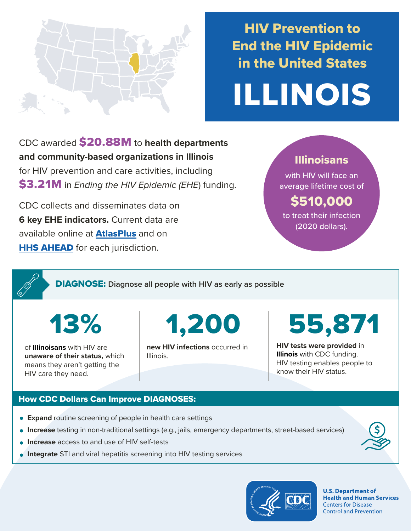

## HIV Prevention to End the HIV Epidemic in the United States

# ILLINOIS

CDC awarded \$20.88M to **health departments and community-based organizations in Illinois**  for HIV prevention and care activities, including \$3.21M in *Ending the HIV Epidemic (EHE*) funding.

CDC collects and disseminates data on **6 key EHE indicators.** Current data are available online at **[AtlasPlus](https://www.cdc.gov/nchhstp/atlas/index.htm)** and on **[HHS AHEAD](https://ahead.hiv.gov/)** for each jurisdiction.

### Illinoisans

with HIV will face an average lifetime cost of

## \$510,000

to treat their infection (2020 dollars).

DIAGNOSE: **Diagnose all people with HIV as early as possible** 

of **Illinoisans** with HIV are **unaware of their status,** which means they aren't getting the HIV care they need.

13% 1,200

**new HIV infections** occurred in Illinois.

55,871

**HIV tests were provided** in **Illinois** with CDC funding. HIV testing enables people to know their HIV status.

#### How CDC Dollars Can Improve DIAGNOSES:

- **Expand** routine screening of people in health care settings
- **Increase** testing in non-traditional settings (e.g., jails, emergency departments, street-based services)
- **Increase** access to and use of HIV self-tests
- **Integrate** STI and viral hepatitis screening into HIV testing services



**U.S. Department of Health and Human Services Centers for Disease Control and Prevention**